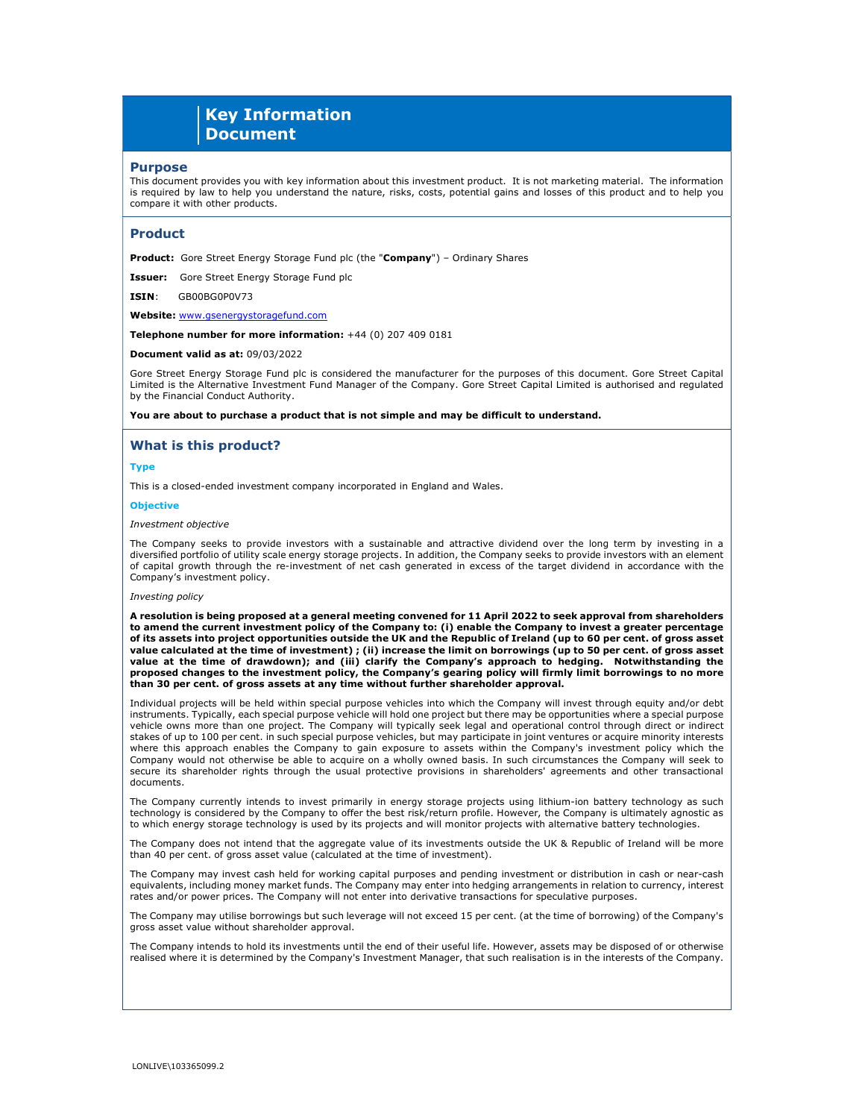# Key Information **Document**

### Purpose

This document provides you with key information about this investment product. It is not marketing material. The information is required by law to help you understand the nature, risks, costs, potential gains and losses of this product and to help you compare it with other products.

### Product

Product: Gore Street Energy Storage Fund plc (the "Company") - Ordinary Shares

**Issuer:** Gore Street Energy Storage Fund plc

ISIN: GB00BG0P0V73

Website: www.gsenergystoragefund.com

Telephone number for more information: +44 (0) 207 409 0181

#### Document valid as at: 09/03/2022

Gore Street Energy Storage Fund plc is considered the manufacturer for the purposes of this document. Gore Street Capital Limited is the Alternative Investment Fund Manager of the Company. Gore Street Capital Limited is authorised and regulated by the Financial Conduct Authority.

You are about to purchase a product that is not simple and may be difficult to understand.

### What is this product?

### Type

This is a closed-ended investment company incorporated in England and Wales.

### **Objective**

#### Investment objective

The Company seeks to provide investors with a sustainable and attractive dividend over the long term by investing in a diversified portfolio of utility scale energy storage projects. In addition, the Company seeks to provide investors with an element of capital growth through the re-investment of net cash generated in excess of the target dividend in accordance with the Company's investment policy.

### Investing policy

A resolution is being proposed at a general meeting convened for 11 April 2022 to seek approval from shareholders to amend the current investment policy of the Company to: (i) enable the Company to invest a greater percentage of its assets into project opportunities outside the UK and the Republic of Ireland (up to 60 per cent. of gross asset value calculated at the time of investment) ; (ii) increase the limit on borrowings (up to 50 per cent. of gross asset value at the time of drawdown); and (iii) clarify the Company's approach to hedging. Notwithstanding the proposed changes to the investment policy, the Company's gearing policy will firmly limit borrowings to no more than 30 per cent. of gross assets at any time without further shareholder approval.

Individual projects will be held within special purpose vehicles into which the Company will invest through equity and/or debt instruments. Typically, each special purpose vehicle will hold one project but there may be opportunities where a special purpose vehicle owns more than one project. The Company will typically seek legal and operational control through direct or indirect stakes of up to 100 per cent. in such special purpose vehicles, but may participate in joint ventures or acquire minority interests where this approach enables the Company to gain exposure to assets within the Company's investment policy which the Company would not otherwise be able to acquire on a wholly owned basis. In such circumstances the Company will seek to secure its shareholder rights through the usual protective provisions in shareholders' agreements and other transactional documents.

The Company currently intends to invest primarily in energy storage projects using lithium-ion battery technology as such technology is considered by the Company to offer the best risk/return profile. However, the Company is ultimately agnostic as to which energy storage technology is used by its projects and will monitor projects with alternative battery technologies.

The Company does not intend that the aggregate value of its investments outside the UK & Republic of Ireland will be more than 40 per cent. of gross asset value (calculated at the time of investment).

The Company may invest cash held for working capital purposes and pending investment or distribution in cash or near-cash equivalents, including money market funds. The Company may enter into hedging arrangements in relation to currency, interest rates and/or power prices. The Company will not enter into derivative transactions for speculative purposes.

The Company may utilise borrowings but such leverage will not exceed 15 per cent. (at the time of borrowing) of the Company's gross asset value without shareholder approval.

The Company intends to hold its investments until the end of their useful life. However, assets may be disposed of or otherwise realised where it is determined by the Company's Investment Manager, that such realisation is in the interests of the Company.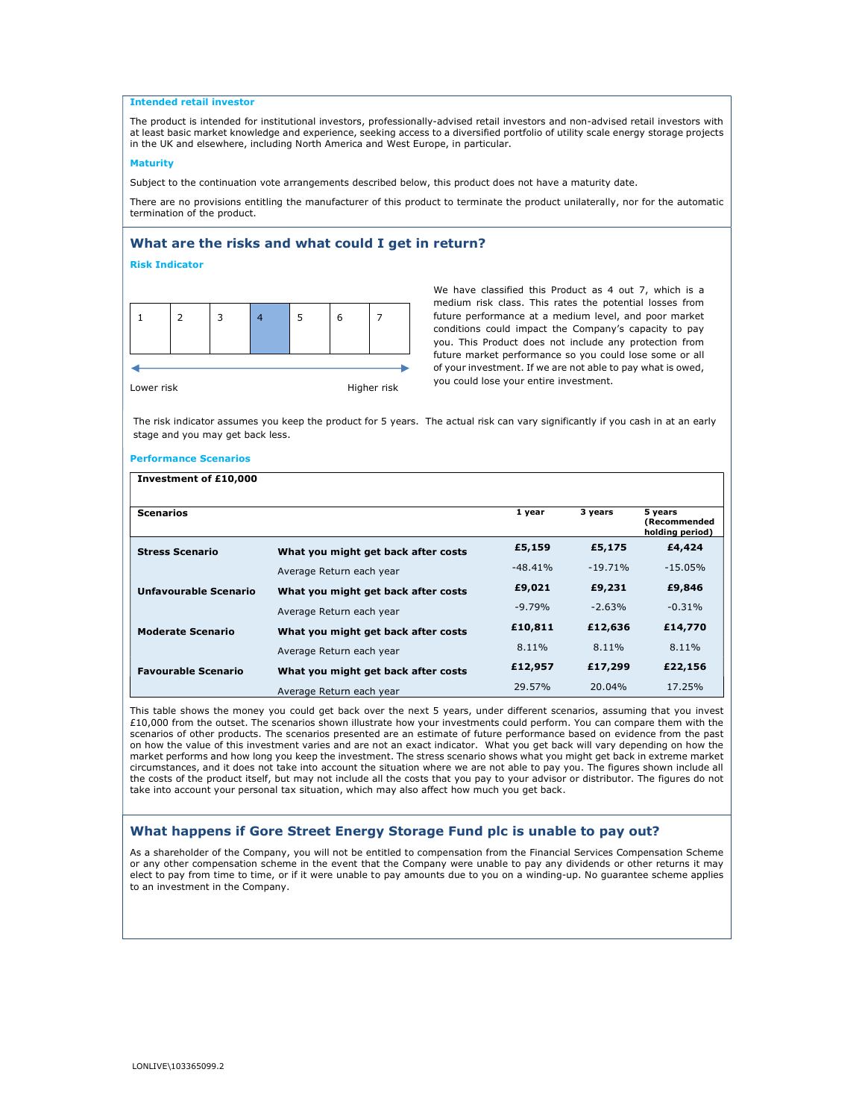# Intended retail investor

The product is intended for institutional investors, professionally-advised retail investors and non-advised retail investors with at least basic market knowledge and experience, seeking access to a diversified portfolio of utility scale energy storage projects in the UK and elsewhere, including North America and West Europe, in particular.

### Maturity

Subject to the continuation vote arrangements described below, this product does not have a maturity date.

There are no provisions entitling the manufacturer of this product to terminate the product unilaterally, nor for the automatic termination of the product.

# What are the risks and what could I get in return?

# Risk Indicator

Lower risk **Higher risk** 

We have classified this Product as 4 out 7, which is a medium risk class. This rates the potential losses from future performance at a medium level, and poor market conditions could impact the Company's capacity to pay you. This Product does not include any protection from future market performance so you could lose some or all of your investment. If we are not able to pay what is owed, you could lose your entire investment.

The risk indicator assumes you keep the product for 5 years. The actual risk can vary significantly if you cash in at an early stage and you may get back less.

### Performance Scenarios

| Investment of £10,000      |                                     |           |           |                                            |
|----------------------------|-------------------------------------|-----------|-----------|--------------------------------------------|
| <b>Scenarios</b>           |                                     | 1 year    | 3 years   | 5 years<br>(Recommended<br>holding period) |
| <b>Stress Scenario</b>     | What you might get back after costs | £5,159    | £5,175    | £4,424                                     |
|                            | Average Return each year            | $-48.41%$ | $-19.71%$ | $-15.05%$                                  |
| Unfavourable Scenario      | What you might get back after costs | £9,021    | £9,231    | £9,846                                     |
|                            | Average Return each year            | $-9.79%$  | $-2.63%$  | $-0.31%$                                   |
| <b>Moderate Scenario</b>   | What you might get back after costs | £10,811   | £12,636   | £14,770                                    |
|                            | Average Return each year            | 8.11%     | 8.11%     | 8.11%                                      |
| <b>Favourable Scenario</b> | What you might get back after costs | £12,957   | £17,299   | £22,156                                    |
|                            | Average Return each year            | 29.57%    | 20.04%    | 17.25%                                     |

This table shows the money you could get back over the next 5 years, under different scenarios, assuming that you invest £10,000 from the outset. The scenarios shown illustrate how your investments could perform. You can compare them with the scenarios of other products. The scenarios presented are an estimate of future performance based on evidence from the past on how the value of this investment varies and are not an exact indicator. What you get back will vary depending on how the market performs and how long you keep the investment. The stress scenario shows what you might get back in extreme market circumstances, and it does not take into account the situation where we are not able to pay you. The figures shown include all the costs of the product itself, but may not include all the costs that you pay to your advisor or distributor. The figures do not take into account your personal tax situation, which may also affect how much you get back.

# What happens if Gore Street Energy Storage Fund plc is unable to pay out?

As a shareholder of the Company, you will not be entitled to compensation from the Financial Services Compensation Scheme or any other compensation scheme in the event that the Company were unable to pay any dividends or other returns it may elect to pay from time to time, or if it were unable to pay amounts due to you on a winding-up. No guarantee scheme applies to an investment in the Company.